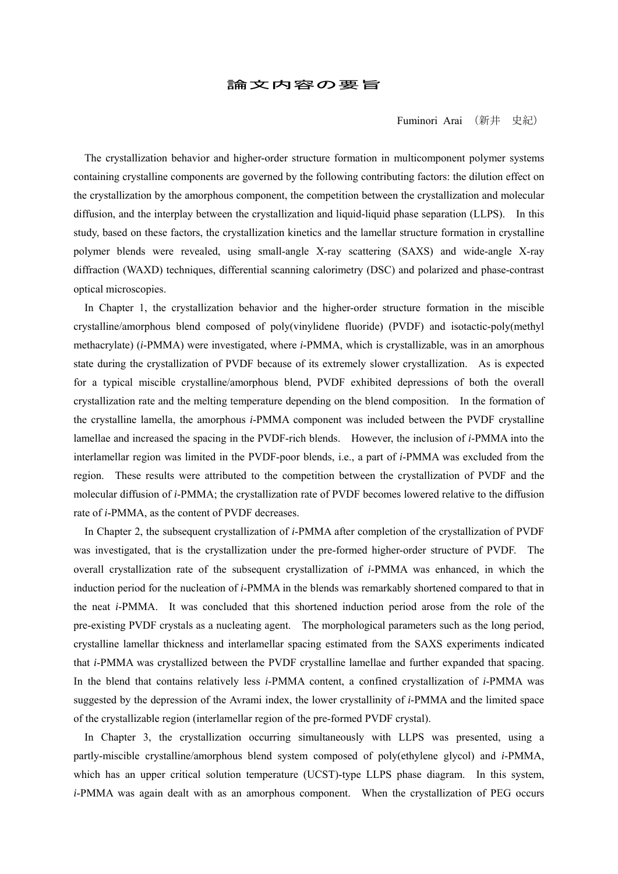## 論文内容の要旨

Fuminori Arai (新井 史紀)

 The crystallization behavior and higher-order structure formation in multicomponent polymer systems containing crystalline components are governed by the following contributing factors: the dilution effect on the crystallization by the amorphous component, the competition between the crystallization and molecular diffusion, and the interplay between the crystallization and liquid-liquid phase separation (LLPS). In this study, based on these factors, the crystallization kinetics and the lamellar structure formation in crystalline polymer blends were revealed, using small-angle X-ray scattering (SAXS) and wide-angle X-ray diffraction (WAXD) techniques, differential scanning calorimetry (DSC) and polarized and phase-contrast optical microscopies.

In Chapter 1, the crystallization behavior and the higher-order structure formation in the miscible crystalline/amorphous blend composed of poly(vinylidene fluoride) (PVDF) and isotactic-poly(methyl methacrylate) (*i*-PMMA) were investigated, where *i*-PMMA, which is crystallizable, was in an amorphous state during the crystallization of PVDF because of its extremely slower crystallization. As is expected for a typical miscible crystalline/amorphous blend, PVDF exhibited depressions of both the overall crystallization rate and the melting temperature depending on the blend composition. In the formation of the crystalline lamella, the amorphous *i*-PMMA component was included between the PVDF crystalline lamellae and increased the spacing in the PVDF-rich blends. However, the inclusion of *i*-PMMA into the interlamellar region was limited in the PVDF-poor blends, i.e., a part of *i*-PMMA was excluded from the region. These results were attributed to the competition between the crystallization of PVDF and the molecular diffusion of *i*-PMMA; the crystallization rate of PVDF becomes lowered relative to the diffusion rate of *i*-PMMA, as the content of PVDF decreases.

In Chapter 2, the subsequent crystallization of *i*-PMMA after completion of the crystallization of PVDF was investigated, that is the crystallization under the pre-formed higher-order structure of PVDF. The overall crystallization rate of the subsequent crystallization of *i*-PMMA was enhanced, in which the induction period for the nucleation of *i*-PMMA in the blends was remarkably shortened compared to that in the neat *i*-PMMA. It was concluded that this shortened induction period arose from the role of the pre-existing PVDF crystals as a nucleating agent. The morphological parameters such as the long period, crystalline lamellar thickness and interlamellar spacing estimated from the SAXS experiments indicated that *i*-PMMA was crystallized between the PVDF crystalline lamellae and further expanded that spacing. In the blend that contains relatively less *i*-PMMA content, a confined crystallization of *i*-PMMA was suggested by the depression of the Avrami index, the lower crystallinity of *i*-PMMA and the limited space of the crystallizable region (interlamellar region of the pre-formed PVDF crystal).

In Chapter 3, the crystallization occurring simultaneously with LLPS was presented, using a partly-miscible crystalline/amorphous blend system composed of poly(ethylene glycol) and *i*-PMMA, which has an upper critical solution temperature (UCST)-type LLPS phase diagram. In this system, *i*-PMMA was again dealt with as an amorphous component. When the crystallization of PEG occurs